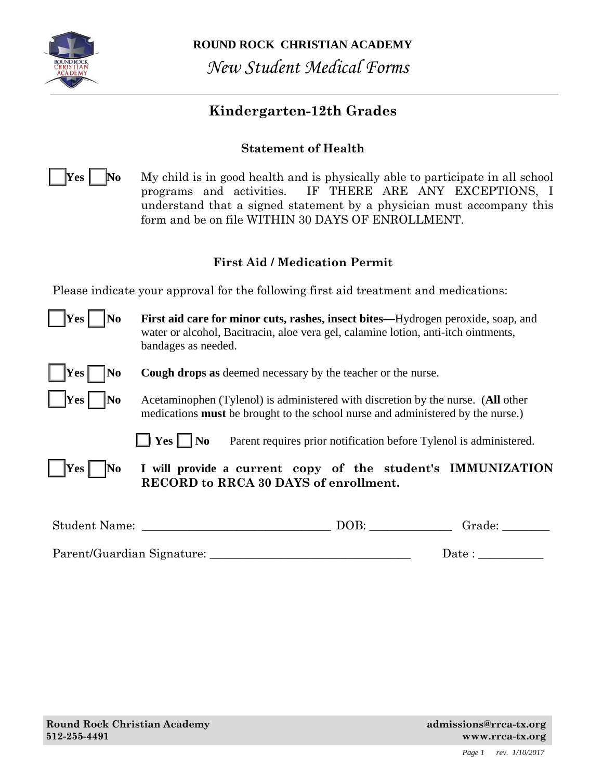

**ROUND ROCK CHRISTIAN ACADEMY**  *New Student Medical Forms*

## **Kindergarten-12th Grades**

## **Statement of Health**

**Yes No** My child is in good health and is physically able to participate in all school programs and activities. IF THERE ARE ANY EXCEPTIONS, I understand that a signed statement by a physician must accompany this form and be on file WITHIN 30 DAYS OF ENROLLMENT.

### **First Aid / Medication Permit**

Please indicate your approval for the following first aid treatment and medications:

| $\vert$  Yes  <br> No      | First aid care for minor cuts, rashes, insect bites-Hydrogen peroxide, soap, and<br>water or alcohol, Bacitracin, aloe vera gel, calamine lotion, anti-itch ointments,<br>bandages as needed. |
|----------------------------|-----------------------------------------------------------------------------------------------------------------------------------------------------------------------------------------------|
| $ $  Yes<br>N <sub>0</sub> | <b>Cough drops as deemed necessary by the teacher or the nurse.</b>                                                                                                                           |
| Yes <br> No                | Acetaminophen (Tylenol) is administered with discretion by the nurse. (All other<br>medications <b>must</b> be brought to the school nurse and administered by the nurse.)                    |
|                            | $\Box$ Yes $\Box$ No<br>Parent requires prior notification before Tylenol is administered.                                                                                                    |
| $\vert$   Yes     No       | I will provide a current copy of the student's IMMUNIZATION<br><b>RECORD to RRCA 30 DAYS of enrollment.</b>                                                                                   |
| Student Name:              | DOB:<br>Grade:                                                                                                                                                                                |

Parent/Guardian Signature: \_\_\_\_\_\_\_\_\_\_\_\_\_\_\_\_\_\_\_\_\_\_\_\_\_\_\_\_\_\_\_\_\_\_ Date : \_\_\_\_\_\_\_\_\_\_\_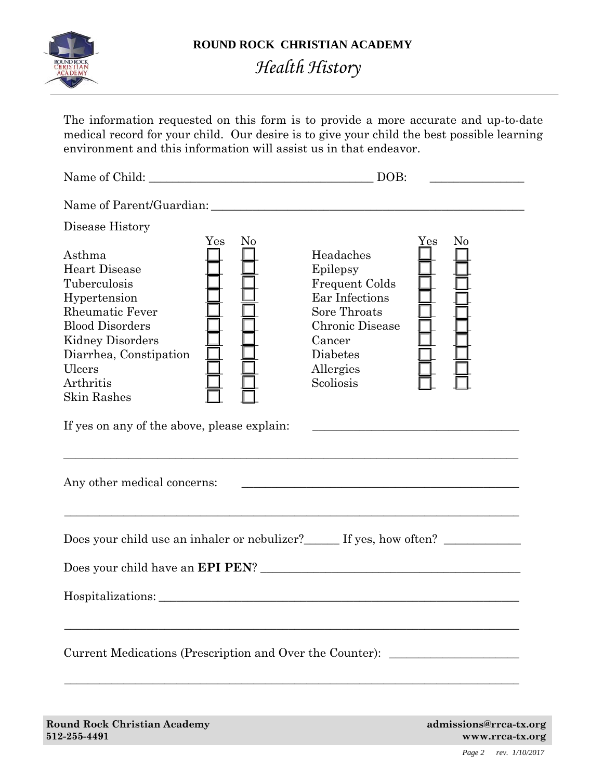

# *Health History*

The information requested on this form is to provide a more accurate and up-to-date medical record for your child. Our desire is to give your child the best possible learning environment and this information will assist us in that endeavor.

Name of Child: \_\_\_\_\_\_\_\_\_\_\_\_\_\_\_\_\_\_\_\_\_\_\_\_\_\_\_\_\_\_\_\_\_\_\_\_\_\_ DOB: \_\_\_\_\_\_\_\_\_\_\_\_\_\_\_\_ Name of Parent/Guardian: \_\_\_\_\_\_\_\_\_\_\_\_\_\_\_\_\_\_\_\_\_\_\_\_\_\_\_\_\_\_\_\_\_\_\_\_\_\_\_\_\_\_\_\_\_\_\_\_\_\_\_\_\_ Disease History Yes No Yes No Asthma  $\Box$  Headaches Heart Disease  $\Box$   $\Box$  Epilepsy Tuberculosis  $\Box$   $\Box$  Frequent Colds Hypertension  $\Box$   $\Box$  Ear Infections Rheumatic Fever  $\Box$   $\Box$  Sore Throats Blood Disorders \_\_\_ \_\_\_ Chronic Disease \_\_\_ \_\_\_ Kidney Disorders  $\Box$   $\Box$  Cancer Diarrhea, Constipation  $\Box$   $\Box$  Diabetes Ulcers  $\Box$   $\Box$  Allergies Arthritis  $\Box$  Scoliosis  $\Box$ Skin Rashes If yes on any of the above, please explain: \_\_\_\_\_\_\_\_\_\_\_\_\_\_\_\_\_\_\_\_\_\_\_\_\_\_\_\_\_\_\_\_\_\_\_\_\_\_\_\_\_\_\_\_\_\_\_\_\_\_\_\_\_\_\_\_\_\_\_\_\_\_\_\_\_\_\_\_\_\_\_\_\_\_\_\_\_ Any other medical concerns: \_\_\_\_\_\_\_\_\_\_\_\_\_\_\_\_\_\_\_\_\_\_\_\_\_\_\_\_\_\_\_\_\_\_\_\_\_\_\_\_\_\_\_\_\_\_\_ \_\_\_\_\_\_\_\_\_\_\_\_\_\_\_\_\_\_\_\_\_\_\_\_\_\_\_\_\_\_\_\_\_\_\_\_\_\_\_\_\_\_\_\_\_\_\_\_\_\_\_\_\_\_\_\_\_\_\_\_\_\_\_\_\_\_\_\_\_\_\_\_\_\_\_\_\_ Does your child use an inhaler or nebulizer?\_\_\_\_\_\_ If yes, how often? \_\_\_\_\_\_\_\_\_\_ Does your child have an **EPI PEN**? \_\_\_\_\_\_\_\_\_\_\_\_\_\_\_\_\_\_\_\_\_\_\_\_\_\_\_\_\_\_\_\_\_\_\_\_\_\_\_\_\_\_\_\_ Hospitalizations: \_\_\_\_\_\_\_\_\_\_\_\_\_\_\_\_\_\_\_\_\_\_\_\_\_\_\_\_\_\_\_\_\_\_\_\_\_\_\_\_\_\_\_\_\_\_\_\_\_\_\_\_\_\_\_\_\_\_\_\_\_\_\_\_\_\_\_\_\_\_\_\_\_\_\_\_\_ Current Medications (Prescription and Over the Counter): \_\_\_\_\_\_\_\_\_\_\_\_\_\_\_\_\_\_\_\_\_\_\_\_\_\_\_\_\_\_\_\_\_\_\_\_\_\_\_\_\_\_\_\_\_\_\_\_\_\_\_\_\_\_\_\_\_\_\_\_\_\_\_\_\_\_\_\_\_\_\_\_\_\_\_\_\_